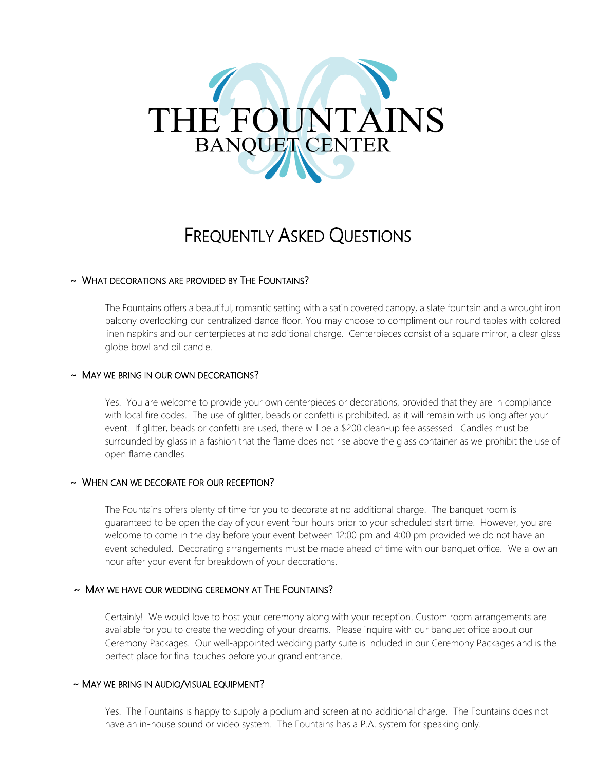# THE FOUNTAINS **BANQUET CENTER**

# FREQUENTLY ASKED QUESTIONS

# ~ WHAT DECORATIONS ARE PROVIDED BY THE FOUNTAINS?

The Fountains offers a beautiful, romantic setting with a satin covered canopy, a slate fountain and a wrought iron balcony overlooking our centralized dance floor. You may choose to compliment our round tables with colored linen napkins and our centerpieces at no additional charge. Centerpieces consist of a square mirror, a clear glass globe bowl and oil candle.

#### ~ MAY WE BRING IN OUR OWN DECORATIONS?

Yes. You are welcome to provide your own centerpieces or decorations, provided that they are in compliance with local fire codes. The use of glitter, beads or confetti is prohibited, as it will remain with us long after your event. If glitter, beads or confetti are used, there will be a \$200 clean-up fee assessed. Candles must be surrounded by glass in a fashion that the flame does not rise above the glass container as we prohibit the use of open flame candles.

#### ~ WHEN CAN WE DECORATE FOR OUR RECEPTION?

The Fountains offers plenty of time for you to decorate at no additional charge. The banquet room is guaranteed to be open the day of your event four hours prior to your scheduled start time. However, you are welcome to come in the day before your event between 12:00 pm and 4:00 pm provided we do not have an event scheduled. Decorating arrangements must be made ahead of time with our banquet office. We allow an hour after your event for breakdown of your decorations.

## ~ MAY WE HAVE OUR WEDDING CEREMONY AT THE FOUNTAINS?

Certainly! We would love to host your ceremony along with your reception. Custom room arrangements are available for you to create the wedding of your dreams. Please inquire with our banquet office about our Ceremony Packages. Our well-appointed wedding party suite is included in our Ceremony Packages and is the perfect place for final touches before your grand entrance.

#### ~ MAY WE BRING IN AUDIO/VISUAL EQUIPMENT?

Yes. The Fountains is happy to supply a podium and screen at no additional charge. The Fountains does not have an in-house sound or video system. The Fountains has a P.A. system for speaking only.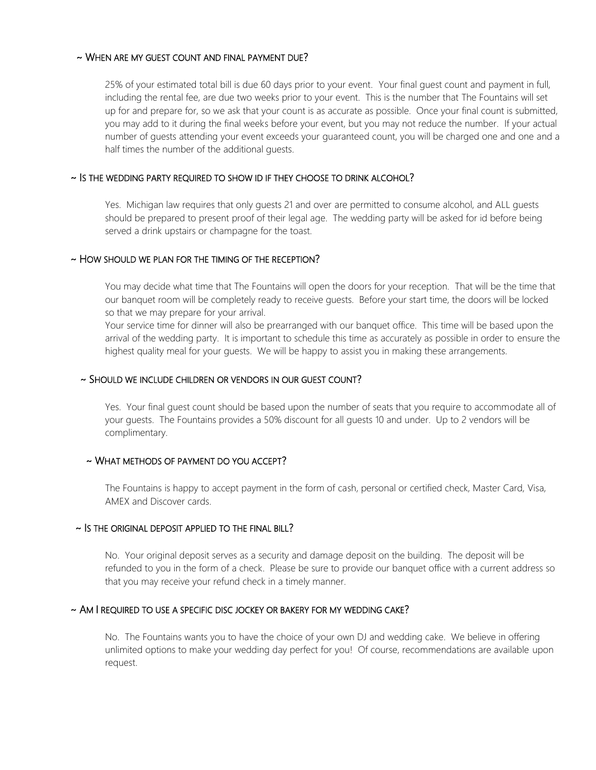#### ~ WHEN ARE MY GUEST COUNT AND FINAL PAYMENT DUE?

25% of your estimated total bill is due 60 days prior to your event. Your final guest count and payment in full, including the rental fee, are due two weeks prior to your event. This is the number that The Fountains will set up for and prepare for, so we ask that your count is as accurate as possible. Once your final count is submitted, you may add to it during the final weeks before your event, but you may not reduce the number. If your actual number of guests attending your event exceeds your guaranteed count, you will be charged one and one and a half times the number of the additional guests.

#### ~ IS THE WEDDING PARTY REQUIRED TO SHOW ID IF THEY CHOOSE TO DRINK ALCOHOL?

Yes. Michigan law requires that only guests 21 and over are permitted to consume alcohol, and ALL guests should be prepared to present proof of their legal age. The wedding party will be asked for id before being served a drink upstairs or champagne for the toast.

#### ~ HOW SHOULD WE PLAN FOR THE TIMING OF THE RECEPTION?

You may decide what time that The Fountains will open the doors for your reception. That will be the time that our banquet room will be completely ready to receive guests. Before your start time, the doors will be locked so that we may prepare for your arrival.

Your service time for dinner will also be prearranged with our banquet office. This time will be based upon the arrival of the wedding party. It is important to schedule this time as accurately as possible in order to ensure the highest quality meal for your guests. We will be happy to assist you in making these arrangements.

#### ~ SHOULD WE INCLUDE CHILDREN OR VENDORS IN OUR GUEST COUNT?

Yes. Your final guest count should be based upon the number of seats that you require to accommodate all of your guests. The Fountains provides a 50% discount for all guests 10 and under. Up to 2 vendors will be complimentary.

## ~ WHAT METHODS OF PAYMENT DO YOU ACCEPT?

The Fountains is happy to accept payment in the form of cash, personal or certified check, Master Card, Visa, AMEX and Discover cards.

#### ~ IS THE ORIGINAL DEPOSIT APPLIED TO THE FINAL BILL?

No. Your original deposit serves as a security and damage deposit on the building. The deposit will be refunded to you in the form of a check. Please be sure to provide our banquet office with a current address so that you may receive your refund check in a timely manner.

# ~ AM I REQUIRED TO USE A SPECIFIC DISC JOCKEY OR BAKERY FOR MY WEDDING CAKE?

No. The Fountains wants you to have the choice of your own DJ and wedding cake. We believe in offering unlimited options to make your wedding day perfect for you! Of course, recommendations are available upon request.